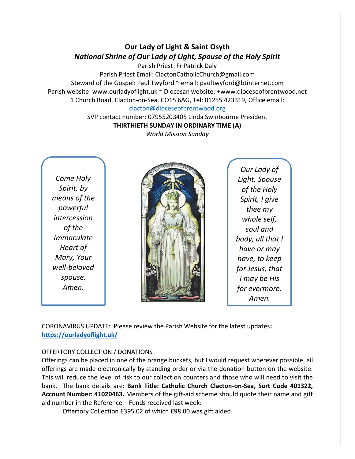# **Our Lady of Light & Saint Osyth** *National Shrine of Our Lady of Light, Spouse of the Holy Spirit*

Parish Priest: Fr Patrick Daly

Parish Priest Email: ClactonCatholicChurch@gmail.com Steward of the Gospel: Paul Twyford ~ email: paultwyford@btinternet.com Parish website: www.ourladyoflight.uk ~ Diocesan website: +www.dioceseofbrentwood.net 1 Church Road, Clacton-on-Sea, CO15 6AG, Tel: 01255 423319, Office email:

#### [clacton@dioceseofbrentwood.org](mailto:clacton@dioceseofbrentwood.org)

SVP contact number: 07955203405 Linda Swinbourne President **THIRTHIETH SUNDAY IN ORDINARY TIME (A)**

*World Mission Sunday*

*Come Holy Spirit, by means of the powerful intercession of the Immaculate Heart of Mary, Your well-beloved spouse. Amen.*



*Our Lady of Light, Spouse of the Holy Spirit, I give thee my whole self, soul and body, all that I have or may have, to keep for Jesus, that I may be His for evermore. Amen.*

CORONAVIRUS UPDATE: Please review the Parish Website for the latest updates**: <https://ourladyoflight.uk/>**

## OFFERTORY COLLECTION / DONATIONS

Offerings can be placed in one of the orange buckets, but I would request wherever possible, all offerings are made electronically by standing order or via the donation button on the website. This will reduce the level of risk to our collection counters and those who will need to visit the bank. The bank details are: **Bank Title: Catholic Church Clacton-on-Sea, Sort Code 401322, Account Number: 41020463.** Members of the gift-aid scheme should quote their name and gift aid number in the Reference. Funds received last week:

Offertory Collection £395.02 of which £98.00 was gift aided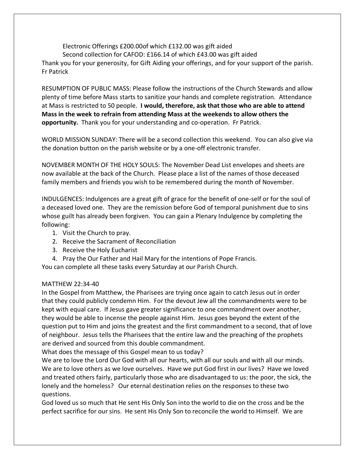Electronic Offerings £200.00of which £132.00 was gift aided Second collection for CAFOD: £166.14 of which £43.00 was gift aided Thank you for your generosity, for Gift Aiding your offerings, and for your support of the parish. Fr Patrick

RESUMPTION OF PUBLIC MASS: Please follow the instructions of the Church Stewards and allow plenty of time before Mass starts to sanitize your hands and complete registration. Attendance at Mass is restricted to 50 people. **I would, therefore, ask that those who are able to attend Mass in the week to refrain from attending Mass at the weekends to allow others the opportunity.** Thank you for your understanding and co-operation. Fr Patrick.

WORLD MISSION SUNDAY: There will be a second collection this weekend. You can also give via the donation button on the parish website or by a one-off electronic transfer.

NOVEMBER MONTH OF THE HOLY SOULS: The November Dead List envelopes and sheets are now available at the back of the Church. Please place a list of the names of those deceased family members and friends you wish to be remembered during the month of November.

INDULGENCES: Indulgences are a great gift of grace for the benefit of one-self or for the soul of a deceased loved one. They are the remission before God of temporal punishment due to sins whose guilt has already been forgiven. You can gain a Plenary Indulgence by completing the following:

- 1. Visit the Church to pray.
- 2. Receive the Sacrament of Reconciliation
- 3. Receive the Holy Eucharist

4. Pray the Our Father and Hail Mary for the intentions of Pope Francis.

You can complete all these tasks every Saturday at our Parish Church.

#### MATTHEW 22:34-40

In the Gospel from Matthew, the Pharisees are trying once again to catch Jesus out in order that they could publicly condemn Him. For the devout Jew all the commandments were to be kept with equal care. If Jesus gave greater significance to one commandment over another, they would be able to incense the people against Him. Jesus goes beyond the extent of the question put to Him and joins the greatest and the first commandment to a second, that of love of neighbour. Jesus tells the Pharisees that the entire law and the preaching of the prophets are derived and sourced from this double commandment.

What does the message of this Gospel mean to us today?

We are to love the Lord Our God with all our hearts, with all our souls and with all our minds. We are to love others as we love ourselves. Have we put God first in our lives? Have we loved and treated others fairly, particularly those who are disadvantaged to us: the poor, the sick, the lonely and the homeless? Our eternal destination relies on the responses to these two questions.

God loved us so much that He sent His Only Son into the world to die on the cross and be the perfect sacrifice for our sins. He sent His Only Son to reconcile the world to Himself. We are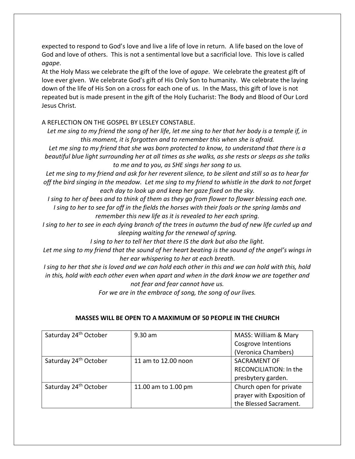expected to respond to God's love and live a life of love in return. A life based on the love of God and love of others. This is not a sentimental love but a sacrificial love. This love is called *agape*.

At the Holy Mass we celebrate the gift of the love of *agape*. We celebrate the greatest gift of love ever given. We celebrate God's gift of His Only Son to humanity. We celebrate the laying down of the life of His Son on a cross for each one of us. In the Mass, this gift of love is not repeated but is made present in the gift of the Holy Eucharist: The Body and Blood of Our Lord Jesus Christ.

# A REFLECTION ON THE GOSPEL BY LESLEY CONSTABLE.

*Let me sing to my friend the song of her life, let me sing to her that her body is a temple if, in this moment, it is forgotten and to remember this when she is afraid.*

*Let me sing to my friend that she was born protected to know, to understand that there is a beautiful blue light surrounding her at all times as she walks, as she rests or sleeps as she talks to me and to you, as SHE sings her song to us.*

*Let me sing to my friend and ask for her reverent silence, to be silent and still so as to hear far off the bird singing in the meadow. Let me sing to my friend to whistle in the dark to not forget each day to look up and keep her gaze fixed on the sky.*

*I sing to her of bees and to think of them as they go from flower to flower blessing each one. I sing to her to see far off in the fields the horses with their foals or the spring lambs and remember this new life as it is revealed to her each spring.*

*I sing to her to see in each dying branch of the trees in autumn the bud of new life curled up and sleeping waiting for the renewal of spring.*

*I sing to her to tell her that there IS the dark but also the light.*

*Let me sing to my friend that the sound of her heart beating is the sound of the angel's wings in her ear whispering to her at each breath.*

*I sing to her that she is loved and we can hold each other in this and we can hold with this, hold in this, hold with each other even when apart and when in the dark know we are together and not fear and fear cannot have us.*

*For we are in the embrace of song, the song of our lives.*

| Saturday 24 <sup>th</sup> October | $9.30$ am           | MASS: William & Mary          |
|-----------------------------------|---------------------|-------------------------------|
|                                   |                     | <b>Cosgrove Intentions</b>    |
|                                   |                     | (Veronica Chambers)           |
| Saturday 24 <sup>th</sup> October | 11 am to 12.00 noon | <b>SACRAMENT OF</b>           |
|                                   |                     | <b>RECONCILIATION: In the</b> |
|                                   |                     | presbytery garden.            |
| Saturday 24 <sup>th</sup> October | 11.00 am to 1.00 pm | Church open for private       |
|                                   |                     | prayer with Exposition of     |
|                                   |                     | the Blessed Sacrament.        |

## **MASSES WILL BE OPEN TO A MAXIMUM OF 50 PEOPLE IN THE CHURCH**